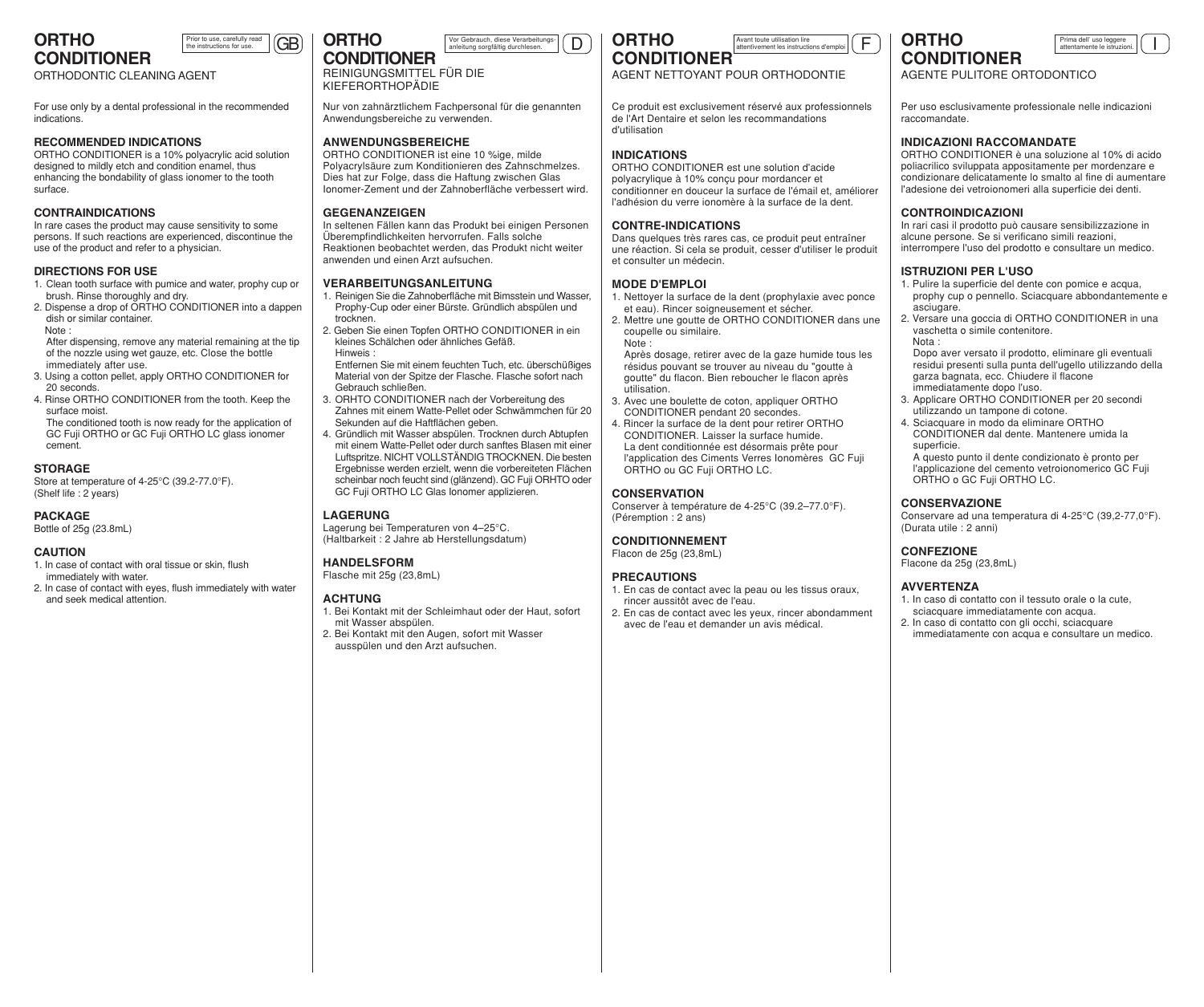# **CONDITIONER**

ORTHODONTIC CLEANING AGENT

For use only by a dental professional in the recommended indications.

Prior to use, carefully read<br>he instructions for use.

#### **RECOMMENDED INDICATIONS**

ORTHO CONDITIONER is a 10% polyacrylic acid solution designed to mildly etch and condition enamel, thus enhancing the bondability of glass ionomer to the tooth surface.

#### **CONTRAINDICATIONS**

In rare cases the product may cause sensitivity to some persons. If such reactions are experienced, discontinue the use of the product and refer to a physician.

#### **DIRECTIONS FOR USE**

- 1. Clean tooth surface with pumice and water, prophy cup or brush. Rinse thoroughly and dry.
- 2. Dispense a drop of ORTHO CONDITIONER into a dappen dish or similar container. Note :

After dispensing, remove any material remaining at the tip of the nozzle using wet gauze, etc. Close the bottle immediately after use.

- 3. Using a cotton pellet, apply ORTHO CONDITIONER for 20 seconds.
- 4. Rinse ORTHO CONDITIONER from the tooth. Keep the surface moist.

The conditioned tooth is now ready for the application of GC Fuji ORTHO or GC Fuji ORTHO LC glass ionomer cement.

#### **STORAGE**

Store at temperature of 4-25°C (39.2-77.0°F). (Shelf life : 2 years)

#### **PACKAGE**

Bottle of 25g (23.8mL)

#### **CAUTION**

- 1. In case of contact with oral tissue or skin, flush immediately with water.
- 2. In case of contact with eyes, flush immediately with water and seek medical attention.



ORTHO CONDITIONER ist eine 10 %ige, milde Polyacrylsäure zum Konditionieren des Zahnschmelzes. Dies hat zur Folge, dass die Haftung zwischen Glas Ionomer-Zement und der Zahnoberfläche verbessert wird.

Anwendungsbereiche zu verwenden. **ANWENDUNGSBEREICHE**

**GEGENANZEIGEN**

KIEFERORTHOPÄDIE

Nur von zahnärztlichem Fachpersonal für die genannten

In seltenen Fällen kann das Produkt bei einigen Personen Überempfindlichkeiten hervorrufen. Falls solche Reaktionen beobachtet werden, das Produkt nicht weiter

1. Reinigen Sie die Zahnoberfläche mit Bimsstein und Wasser,

**ORTHO**

## **ORTHO CONDITIONER**

AGENT NETTOYANT POUR ORTHODONTIE

Ce produit est exclusivement réservé aux professionnels de l'Art Dentaire et selon les recommandations d'utilisation

#### **INDICATIONS**

ORTHO CONDITIONER est une solution d'acide polyacrylique à 10% conçu pour mordancer et conditionner en douceur la surface de l'émail et, améliorer l'adhésion du verre ionomère à la surface de la dent.

#### **CONTRE-INDICATIONS**

Dans quelques très rares cas, ce produit peut entraîner une réaction. Si cela se produit, cesser d'utiliser le produit et consulter un médecin.

#### **MODE D'EMPLOI**

- 1. Nettoyer la surface de la dent (prophylaxie avec ponce et eau). Rincer soigneusement et sécher.
- 2. Mettre une goutte de ORTHO CONDITIONER dans une coupelle ou similaire. Note :

Après dosage, retirer avec de la gaze humide tous les résidus pouvant se trouver au niveau du "goutte à goutte" du flacon. Bien reboucher le flacon après utilisation.

- 3. Avec une boulette de coton, appliquer ORTHO CONDITIONER pendant 20 secondes.
- 4. Rincer la surface de la dent pour retirer ORTHO CONDITIONER. Laisser la surface humide. La dent conditionnée est désormais prête pour l'application des Ciments Verres Ionomères GC Fuji ORTHO ou GC Fuji ORTHO LC.

#### **CONSERVATION**

Conserver à température de 4-25°C (39.2–77.0°F). (Péremption : 2 ans)

#### **CONDITIONNEMENT**

Flacon de 25g (23,8mL)

#### **PRECAUTIONS**

- 1. En cas de contact avec la peau ou les tissus oraux, rincer aussitôt avec de l'eau.
- 2. En cas de contact avec les yeux, rincer abondamment avec de l'eau et demander un avis médical.

**ORTHO CONDITIONER**



AGENTE PULITORE ORTODONTICO

Per uso esclusivamente professionale nelle indicazioni raccomandate.

## **INDICAZIONI RACCOMANDATE**

ORTHO CONDITIONER è una soluzione al 10% di acido poliacrilico sviluppata appositamente per mordenzare e condizionare delicatamente lo smalto al fine di aumentare l'adesione dei vetroionomeri alla superficie dei denti.

## **CONTROINDICAZIONI**

In rari casi il prodotto può causare sensibilizzazione in alcune persone. Se si verificano simili reazioni, interrompere l'uso del prodotto e consultare un medico.

#### **ISTRUZIONI PER L'USO**

- 1. Pulire la superficie del dente con pomice e acqua, prophy cup o pennello. Sciacquare abbondantemente e asciugare.
- 2. Versare una goccia di ORTHO CONDITIONER in una vaschetta o simile contenitore. Nota :

Dopo aver versato il prodotto, eliminare gli eventuali residui presenti sulla punta dell'ugello utilizzando della garza bagnata, ecc. Chiudere il flacone immediatamente dopo l'uso.

- 3. Applicare ORTHO CONDITIONER per 20 secondi utilizzando un tampone di cotone.
- 4. Sciacquare in modo da eliminare ORTHO CONDITIONER dal dente. Mantenere umida la superficie.

A questo punto il dente condizionato è pronto per l'applicazione del cemento vetroionomerico GC Fuji ORTHO o GC Fuji ORTHO LC.

#### **CONSERVAZIONE**

Conservare ad una temperatura di 4-25°C (39,2-77,0°F). (Durata utile : 2 anni)

#### **CONFEZIONE**

Flacone da 25g (23,8mL)

#### **AVVERTENZA**

- 1. In caso di contatto con il tessuto orale o la cute, sciacquare immediatamente con acqua.
- 2. In caso di contatto con gli occhi, sciacquare immediatamente con acqua e consultare un medico.

Prophy-Cup oder einer Bürste. Gründlich abspülen und trocknen. 2. Geben Sie einen Topfen ORTHO CONDITIONER in ein kleines Schälchen oder ähnliches Gefäß. Hinweis :

anwenden und einen Arzt aufsuchen. **VERARBEITUNGSANLEITUNG**

Entfernen Sie mit einem feuchten Tuch, etc. überschüßiges Material von der Spitze der Flasche. Flasche sofort nach Gebrauch schließen.

- 3. ORHTO CONDITIONER nach der Vorbereitung des Zahnes mit einem Watte-Pellet oder Schwämmchen für 20 Sekunden auf die Haftflächen geben.
- 4. Gründlich mit Wasser abspülen. Trocknen durch Abtupfen mit einem Watte-Pellet oder durch sanftes Blasen mit einer Luftspritze. NICHT VOLLSTÄNDIG TROCKNEN. Die besten Ergebnisse werden erzielt, wenn die vorbereiteten Flächen scheinbar noch feucht sind (glänzend). GC Fuji ORHTO oder GC Fuji ORTHO LC Glas Ionomer applizieren.

#### **LAGERUNG**

Lagerung bei Temperaturen von 4–25°C. (Haltbarkeit : 2 Jahre ab Herstellungsdatum)

#### **HANDELSFORM**

Flasche mit 25g (23,8mL)

- mit Wasser abspülen.
- ausspülen und den Arzt aufsuchen.

## **ACHTUNG**

- 1. Bei Kontakt mit der Schleimhaut oder der Haut, sofort
- 2. Bei Kontakt mit den Augen, sofort mit Wasser